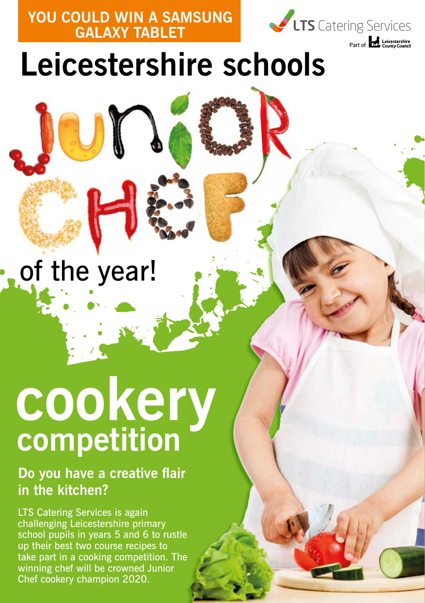**YOU COULD WIN A SAMSUNG GALAXY TABLET**



## **Leicestershire schools**

### of the year!

# **cookery competition**

### **Do you have a creative flair in the kitchen?**

LTS Catering Services is again challenging Leicestershire primary school pupils in years 5 and 6 to rustle up their best two course recipes to take part in a cooking competition. The winning chef will be crowned Junior Chef cookery champion 2020.